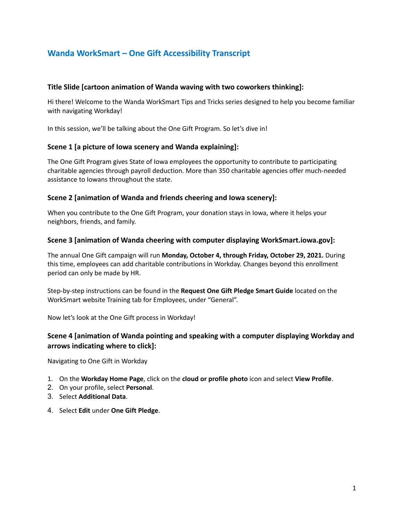# **Wanda WorkSmart – One Gift Accessibility Transcript**

### **Title Slide [cartoon animation of Wanda waving with two coworkers thinking]:**

Hi there! Welcome to the Wanda WorkSmart Tips and Tricks series designed to help you become familiar with navigating Workday!

In this session, we'll be talking about the One Gift Program. So let's dive in!

### **Scene 1 [a picture of Iowa scenery and Wanda explaining]:**

The One Gift Program gives State of Iowa employees the opportunity to contribute to participating charitable agencies through payroll deduction. More than 350 charitable agencies offer much-needed assistance to Iowans throughout the state.

### **Scene 2 [animation of Wanda and friends cheering and Iowa scenery]:**

When you contribute to the One Gift Program, your donation stays in Iowa, where it helps your neighbors, friends, and family.

### **Scene 3 [animation of Wanda cheering with computer displaying WorkSmart.iowa.gov]:**

The annual One Gift campaign will run **Monday, October 4, through Friday, October 29, 2021.** During this time, employees can add charitable contributions in Workday. Changes beyond this enrollment period can only be made by HR.

Step-by-step instructions can be found in the **Request One Gift Pledge Smart Guide** located on the WorkSmart website Training tab for Employees, under "General".

Now let's look at the One Gift process in Workday!

### **Scene 4 [animation of Wanda pointing and speaking with a computer displaying Workday and arrows indicating where to click]:**

Navigating to One Gift in Workday

- 1. On the **Workday Home Page**, click on the **cloud or profile photo** icon and select **View Profile**.
- 2. On your profile, select **Personal**.
- 3. Select **Additional Data**.
- 4. Select **Edit** under **One Gift Pledge**.